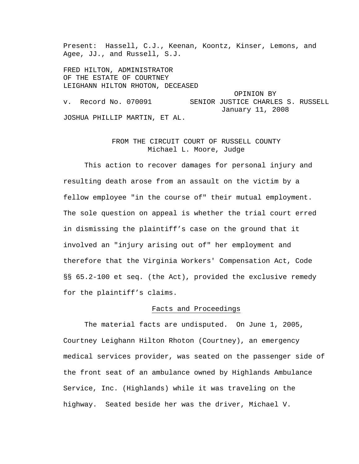Present: Hassell, C.J., Keenan, Koontz, Kinser, Lemons, and Agee, JJ., and Russell, S.J.

FRED HILTON, ADMINISTRATOR OF THE ESTATE OF COURTNEY LEIGHANN HILTON RHOTON, DECEASED OPINION BY v. Record No. 070091 SENIOR JUSTICE CHARLES S. RUSSELL January 11, 2008 JOSHUA PHILLIP MARTIN, ET AL.

# FROM THE CIRCUIT COURT OF RUSSELL COUNTY Michael L. Moore, Judge

 This action to recover damages for personal injury and resulting death arose from an assault on the victim by a fellow employee "in the course of" their mutual employment. The sole question on appeal is whether the trial court erred in dismissing the plaintiff's case on the ground that it involved an "injury arising out of" her employment and therefore that the Virginia Workers' Compensation Act, Code §§ 65.2-100 et seq. (the Act), provided the exclusive remedy for the plaintiff's claims.

#### Facts and Proceedings

 The material facts are undisputed. On June 1, 2005, Courtney Leighann Hilton Rhoton (Courtney), an emergency medical services provider, was seated on the passenger side of the front seat of an ambulance owned by Highlands Ambulance Service, Inc. (Highlands) while it was traveling on the highway. Seated beside her was the driver, Michael V.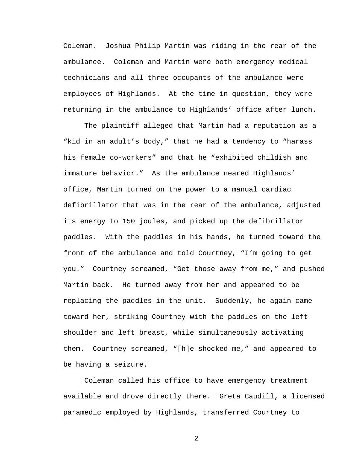Coleman. Joshua Philip Martin was riding in the rear of the ambulance. Coleman and Martin were both emergency medical technicians and all three occupants of the ambulance were employees of Highlands. At the time in question, they were returning in the ambulance to Highlands' office after lunch.

 The plaintiff alleged that Martin had a reputation as a "kid in an adult's body," that he had a tendency to "harass his female co-workers" and that he "exhibited childish and immature behavior." As the ambulance neared Highlands' office, Martin turned on the power to a manual cardiac defibrillator that was in the rear of the ambulance, adjusted its energy to 150 joules, and picked up the defibrillator paddles. With the paddles in his hands, he turned toward the front of the ambulance and told Courtney, "I'm going to get you." Courtney screamed, "Get those away from me," and pushed Martin back. He turned away from her and appeared to be replacing the paddles in the unit. Suddenly, he again came toward her, striking Courtney with the paddles on the left shoulder and left breast, while simultaneously activating them. Courtney screamed, "[h]e shocked me," and appeared to be having a seizure.

 Coleman called his office to have emergency treatment available and drove directly there. Greta Caudill, a licensed paramedic employed by Highlands, transferred Courtney to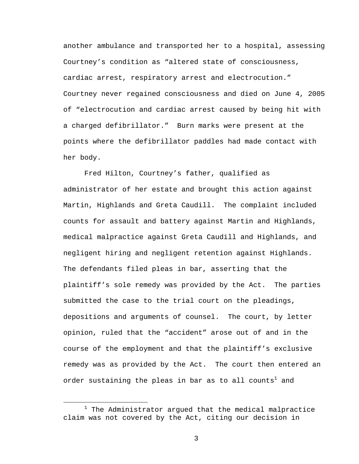another ambulance and transported her to a hospital, assessing Courtney's condition as "altered state of consciousness, cardiac arrest, respiratory arrest and electrocution." Courtney never regained consciousness and died on June 4, 2005 of "electrocution and cardiac arrest caused by being hit with a charged defibrillator." Burn marks were present at the points where the defibrillator paddles had made contact with her body.

 Fred Hilton, Courtney's father, qualified as administrator of her estate and brought this action against Martin, Highlands and Greta Caudill. The complaint included counts for assault and battery against Martin and Highlands, medical malpractice against Greta Caudill and Highlands, and negligent hiring and negligent retention against Highlands. The defendants filed pleas in bar, asserting that the plaintiff's sole remedy was provided by the Act. The parties submitted the case to the trial court on the pleadings, depositions and arguments of counsel. The court, by letter opinion, ruled that the "accident" arose out of and in the course of the employment and that the plaintiff's exclusive remedy was as provided by the Act. The court then entered an order sustaining the pleas in bar as to all counts $^{\rm l}$  and

 $\overline{\phantom{a}}$  $1$  The Administrator argued that the medical malpractice claim was not covered by the Act, citing our decision in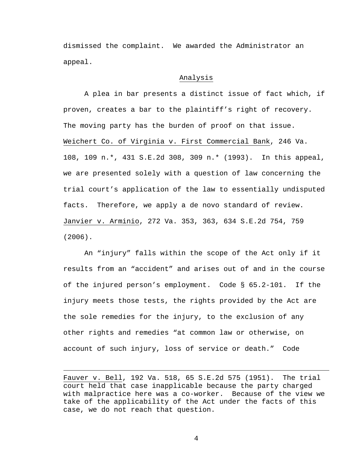dismissed the complaint. We awarded the Administrator an appeal.

### Analysis

 A plea in bar presents a distinct issue of fact which, if proven, creates a bar to the plaintiff's right of recovery. The moving party has the burden of proof on that issue. Weichert Co. of Virginia v. First Commercial Bank, 246 Va. 108, 109 n.\*, 431 S.E.2d 308, 309 n.\* (1993). In this appeal, we are presented solely with a question of law concerning the trial court's application of the law to essentially undisputed facts. Therefore, we apply a de novo standard of review. Janvier v. Arminio, 272 Va. 353, 363, 634 S.E.2d 754, 759 (2006).

 An "injury" falls within the scope of the Act only if it results from an "accident" and arises out of and in the course of the injured person's employment. Code § 65.2-101. If the injury meets those tests, the rights provided by the Act are the sole remedies for the injury, to the exclusion of any other rights and remedies "at common law or otherwise, on account of such injury, loss of service or death." Code

i<br>Li

Fauver v. Bell, 192 Va. 518, 65 S.E.2d 575 (1951). The trial court held that case inapplicable because the party charged with malpractice here was a co-worker. Because of the view we take of the applicability of the Act under the facts of this case, we do not reach that question.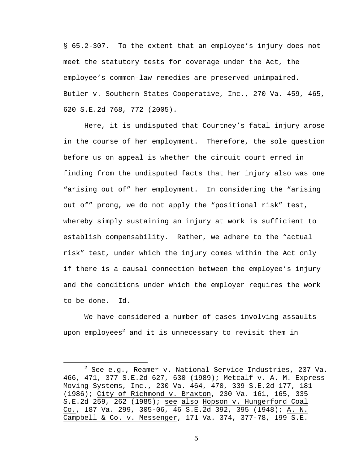§ 65.2-307. To the extent that an employee's injury does not meet the statutory tests for coverage under the Act, the employee's common-law remedies are preserved unimpaired. Butler v. Southern States Cooperative, Inc., 270 Va. 459, 465, 620 S.E.2d 768, 772 (2005).

 Here, it is undisputed that Courtney's fatal injury arose in the course of her employment. Therefore, the sole question before us on appeal is whether the circuit court erred in finding from the undisputed facts that her injury also was one "arising out of" her employment. In considering the "arising out of" prong, we do not apply the "positional risk" test, whereby simply sustaining an injury at work is sufficient to establish compensability. Rather, we adhere to the "actual risk" test, under which the injury comes within the Act only if there is a causal connection between the employee's injury and the conditions under which the employer requires the work to be done. Id.

 We have considered a number of cases involving assaults upon employees $^2$  and it is unnecessary to revisit them in

 $\overline{\phantom{a}}$  $2$  See e.g., Reamer v. National Service Industries, 237 Va. 466, 471, 377 S.E.2d 627, 630 (1989); Metcalf v. A. M. Express Moving Systems, Inc., 230 Va. 464, 470, 339 S.E.2d 177, 181 (1986); City of Richmond v. Braxton, 230 Va. 161, 165, 335 S.E.2d 259, 262 (1985); see also Hopson v. Hungerford Coal Co., 187 Va. 299, 305-06, 46 S.E.2d 392, 395 (1948); A. N. Campbell & Co. v. Messenger, 171 Va. 374, 377-78, 199 S.E.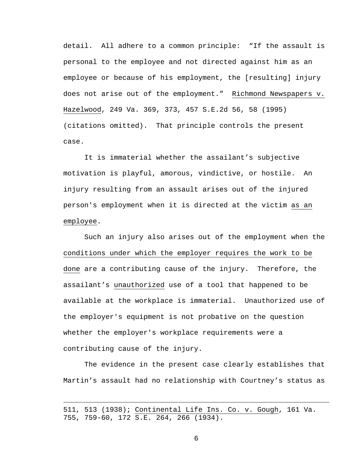detail. All adhere to a common principle: "If the assault is personal to the employee and not directed against him as an employee or because of his employment, the [resulting] injury does not arise out of the employment." Richmond Newspapers v. Hazelwood, 249 Va. 369, 373, 457 S.E.2d 56, 58 (1995) (citations omitted). That principle controls the present case.

 It is immaterial whether the assailant's subjective motivation is playful, amorous, vindictive, or hostile. An injury resulting from an assault arises out of the injured person's employment when it is directed at the victim as an employee.

 Such an injury also arises out of the employment when the conditions under which the employer requires the work to be done are a contributing cause of the injury. Therefore, the assailant's unauthorized use of a tool that happened to be available at the workplace is immaterial. Unauthorized use of the employer's equipment is not probative on the question whether the employer's workplace requirements were a contributing cause of the injury.

 The evidence in the present case clearly establishes that Martin's assault had no relationship with Courtney's status as

i<br>Li

<sup>511, 513 (1938);</sup> Continental Life Ins. Co. v. Gough, 161 Va. 755, 759-60, 172 S.E. 264, 266 (1934).